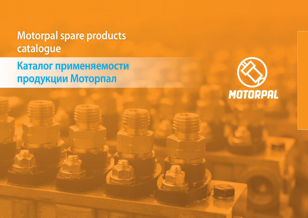# **Motorpal spare products catalogue**

**Каталог применяемости продукции Моторпал**

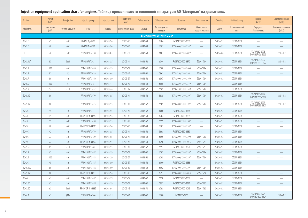## **Injection equipment application chart for engines. Таблица применяемости топливной аппаратуры АО "Моторпал" на двигателях.**

| Engine    | Power<br>(kW)    | Preinjection     | Injection pump  | Injection unit | Plunger and<br>barrel | Delivery valve | Calibration chart        | Governor          | Boost corrector               | Coupling | Fuel feed pump         | Injector<br>Nozzle               | Openning pressure<br>(MPa) |
|-----------|------------------|------------------|-----------------|----------------|-----------------------|----------------|--------------------------|-------------------|-------------------------------|----------|------------------------|----------------------------------|----------------------------|
| Двигатель | Мощность<br>(kW) | Начало впрыска   | ТНВД            | Секция         | Плунжерная пара       | Клапан         | Инструкция по<br>наладки | Регулятор         | Обогатитель<br>подачи топлива | Муфта    | Подкачивающий<br>насос | Форсунка<br>Распылитель          | Давление открытия<br>(MPa) |
|           |                  |                  |                 |                |                       |                | OJSC"MMP"/OAO"YKX" MM3"  |                   |                               |          |                        |                                  |                            |
| Д242.С    | 45               | $14\pm1$         | PP4M9P1g-4269   | 60503-94       | 60403-43              | 60042-58       | 6784                     | RV3M400/900-3388  |                               | 54856-92 | CD3M-3554              |                                  |                            |
| Д243.С    | 60               | 16±1             | PP4M9P1g-4270   | 60503-94       | 60403-43              | 60042-58       | 6785                     | RV3M400/1100-3387 |                               | 54856-92 | CD3M-3554              |                                  |                            |
| 3LD       | 26               | 15±1             | PP3M10P3f-4278  | 60503-03       | 60403-31              | 60042-69       | 6807                     | RV3M450/1500-4022 | $\overline{\phantom{a}}$      | 54856-86 | CD3M-3554              | VA70P360-2998<br>DOP146P426-3503 | $22,0+1,2$                 |
| Д245.16Л  | 93               | $9\pm1$          | PP4M10P1f-3431  | 60503-55       | 60403-41              | 60042-62       | 6544                     | RV3M300/900-3872  | ZS64-1784                     | 54856-92 | CD3M-3554              | VA70P360-2997<br>DOP122P533-3827 | $22,0+1,2$                 |
| Д245.9    | 100              | $14\pm1$         | PP4M10U1f-3436  | 60503-59       | 60403-57              | 60042-62       | 6508                     | RV3M400/1200-3860 | ZS64-1784                     | 54856-92 | CD3M-3554              |                                  |                            |
| Д245.7    | 92               | (9)              | PP4M10P1f-3439  | 60503-44       | 60403-47              | 60042-62       | 5965                     | RV3M250/1200-3861 | ZS64-1784                     | 54856-92 | CD3M-3554              |                                  |                            |
| Д245.7    | 90               | $14\pm1$         | PP4M10U1f-3440  | 60503-59       | 60403-57              | 60042-62       | 6507                     | RV3M400/1200-3860 | ZS64-1784                     | 54856-92 | CD3M-3554              | $\frac{1}{2}$                    |                            |
| Д245.9    | 100              | (9)              | PP4M10P1f-3451  | 60503-44       | 60403-47              | 60042-62       | 5955                     | RV3M250/1200-3349 | ZS64-1784                     |          | CD3M-3554              |                                  |                            |
| Д245.7    | 92               | $9+1$            | PP4M10P1f-3457  | 60503-44       | 60403-47              | 60042-62       | 5965                     | RV3M250/1200-3349 | ZS64-1784                     |          | CD3M-3554              |                                  |                            |
| Д245.12   | 80               |                  | PP4M10P1f-3470  | 60503-55       | 60403-41              | 60042-62       | 5985                     | RV3M400/1200-3397 | ZS64-1784                     | 54856-92 | CD3M-3554              | VA70P360-2997<br>DOP122P533-3827 | $22,0+1,2$                 |
| Д245.12   | 80               |                  | PP4M10P1f-3475  | 60503-55       | 60403-41              | 60042-62       | 5985                     | RV3M400/1200-3397 | ZS64-1784                     | 54856-92 | CD3M-3554              | VA70P360-2997<br>DOP122P533-3827 | $22,0+1,2$                 |
| Д242С     | 45               | $14\pm1$         | PP4M10P1f-3477  | 60503-55       | 60403-41              | 60042-62       | 6000                     | RV3M400/900-3388  |                               | 54856-92 | CD3M-3554              |                                  |                            |
| Д242С     | 45               | $14\pm1$         | PP4M10P1f-3477G | 60503-94       | 60403-43              | 60042-58       | 6784                     | RV3M400/900-3388  |                               | 54856-92 | CD3M-3554              |                                  |                            |
| Д243С     | 59               | 16±1             | PP4M10P1f-3478  | 60503-55       | 60403-41              | 60042-62       | 5999                     | RV3M400/1100-3387 |                               | 54856-92 | CD3M-3554              |                                  |                            |
| Д243С     | 60               | 16±1             | PP4M10P1f-3478G | 60503-94       | 60403-43              | 60042-58       | 6785                     | RV3M400/1100-3387 |                               | 54856-92 | CD3M-3554              |                                  |                            |
| Д244С     | 42               | $14\pm1$         | PP4M10P1f-3479  | 60503-55       | 60403-41              | 60042-62       | 5998                     | RV3M300/850-3389  |                               | 54856-92 | CD3M-3554              |                                  |                            |
| Д245С     | 77               | $13 \pm 1$       | PP4M10P1f-3480  | 60503-55       | 60403-41              | 60042-62       | 5996                     | RV3M300/1100-3390 | ZS64-1793                     | 54856-92 | CD3M-3554              |                                  |                            |
| Д245С     | 77               | $13 \pm 1$       | PP4M10P1f-3480G | 60503-94       | 60403-43              | 60042-58       | 6796                     | RV3M400/1100-4015 | ZS64-1793                     | 54856-92 | CD3M-3554              | $\hspace{0.05cm}$                |                            |
| Д245.5С   | 65               | $9 \pm 1$        | PP4M10P1f-3481  | 60503-55       | 60403-41              | 60042-62       | 5997                     | RV3M300/900-3391  | ZS64-1793                     | 54856-92 | CD3M-3554              | $\frac{1}{2}$                    |                            |
| Д245.7    | 65               | $14\pm1$         | PP4M10U1f-3482  | 60503-59       | 60403-57              | 60042-62       | 6507                     | RV3M400/1200-3397 | ZS64-1784                     | 54856-92 | CD3M-3554              |                                  |                            |
| Д245.9    | 100              | $14\pm1$         | PP4M10U1f-3483  | 60503-59       | 60403-57              | 60042-62       | 6508                     | RV3M400/1200-3397 | ZS64-1784                     | 54856-92 | CD3M-3554              |                                  |                            |
| Д242С     | 45               | 14 <sub>±1</sub> | PP4M10U1f-3485  | 60503-59       | 60403-57              | 60042-62       | 6000                     | RV3M400/900-3388  |                               | 54856-92 | CD3M-3554              |                                  |                            |
| Д245.12С  | 80               | $13 \pm 1$       | PP4M10U1f-3486  | 60503-59       | 60403-57              | 60042-62       | 5992                     | RV3M400/1200-3397 | ZS64-1784                     | 54856-92 | CD3M-3554              | $\overline{\phantom{0}}$         |                            |
| Д245.12С  | 80               |                  | PP4M10P1f-3486G | 60503-94       | 60403-43              | 60042-58       | 6797                     | RV3M400/1200-4014 | ZS64-1796                     | 54856-92 | CD3M-3554              |                                  |                            |
| Д244С     | 42               | $14\pm1$         | PP4M10U1f-3487  | 60503-59       | 60403-57              | 60042-62       | 5998                     | RV3M300/850-3389  |                               | 54856-92 | CD3M-3554              |                                  |                            |
| Д245.5С   | 65               | $13 \pm 1$       | PP4M10U1f-3488  | 60503-59       | 60403-57              | 60042-62       | 5997                     | RV3M300/900-3391  | ZS64-1793                     | 54856-92 | CD3M-3554              |                                  |                            |
| Д245.5С   | 65               | $9\pm1$          | PP4M10P1f-3488G | 60503-94       | 60403-43              | 60042-58       | 6798                     | RV3M400/900-4013  | ZS64-1793                     | 54856-92 | CD3M-3554              |                                  |                            |
| Д246.1    | 42               | (11)             | PP4M10P1f-4204  | 60503-55       | 60403-41              | 60042-62       | 6700                     | RV3M750-3966      |                               | 54856-92 | CD3M-3554              | VA70P360-2994<br>DOP140P529-3824 | $25,0+1,2$                 |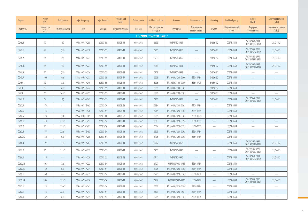| Engine    | Power<br>(kW)    | Preinjection             | Injection pump | Injection unit | Plunger and<br>barrel | Delivery valve | Calibration chart        | Governor          | <b>Boost corrector</b>        | Coupling                 | Fuel feed pump         | Injector<br>Nozzle               | Openning pressure<br>(MPa) |
|-----------|------------------|--------------------------|----------------|----------------|-----------------------|----------------|--------------------------|-------------------|-------------------------------|--------------------------|------------------------|----------------------------------|----------------------------|
| Двигатель | Мощность<br>(kW) | Начало впрыска           | <b>ТНВД</b>    | Секция         | Плунжерная пара       | Клапан         | Инструкция по<br>наладки | Регулятор         | Обогатитель<br>подачи топлива | Муфта                    | Подкачивающий<br>Hacoc | Форсунка<br>Распылитель          | Давление открытия<br>(MPa) |
|           |                  |                          |                |                |                       |                | OJSC"MMP"/OAO"YKX" MM3"  |                   |                               |                          |                        |                                  |                            |
| Д246.4    | 77               | (9)                      | PP4M10P1f-4205 | 60503-55       | 60403-41              | 60042-62       | 6699                     | RV3M750-3965      |                               | 54856-92                 | CD3M-3554              | VA70P360-2994<br>DOP140P529-3824 | $25,0+1,2$                 |
| Д246.1    | 42               | (11)                     | PP4M10P1f-4218 | 60503-55       | 60403-41              | 60042-62       | 6701                     | RV3M750-3966      |                               | 54856-92                 | CD3M-3554              | VA70P360-2994<br>DOP140P529-3824 | $25,0+1,2$                 |
| Д246.2    | 55               | (9)                      | PP4M10P1f-4221 | 60503-55       | 60403-41              | 60042-62       | 6733                     | RV3M750-3965      | $\sim$                        | 54856-92                 | CD3M-3554              | VA70P360-2994<br>DOP140P529-3824 | $25,0+1,2$                 |
| Д246.3    | 65               | (9)                      | PP4M10P1f-4223 | 60503-55       | 60403-41              | 60042-62       | 6789                     | RV3M750-4001      | $\qquad \qquad$               | 54856-92                 | CD3M-3554              | VA70P360-2994<br>DOP140P529-3824 | $25,0+1,2$                 |
| Д246.5    | 30 <sup>°</sup>  | (11)                     | PP4M10P1f-4224 | 60503-55       | 60403-41              | 60042-62       | 6758                     | RV3M900-3993      |                               | 54856-92                 | CD3M-3554              |                                  |                            |
| Д245.9    | 100              | 14 <sub>±1</sub>         | PP4M10U1f-4233 | 60503-59       | 60403-57              | 60042-62       | 6508                     | RV3M400/1200-3860 | ZS64-1784                     | 54856-92                 | CD3M-3554              |                                  |                            |
| Д245С     | 79               | $13 \pm 1$               | PP4M10P1f-4240 | 60503-55       | 60403-41              | 60042-62       | 5996                     | RV3M300/1100-3390 | ZS64-1793                     | 54856-92                 | CD3M-3554              | $\overline{\phantom{0}}$         |                            |
| Д243С     | 59               | 16±1                     | PP4M10P1f-4244 | 60503-55       | 60403-41              | 60042-62       | 5999                     | RV3M400/1100-3387 |                               | 54856-92                 | CD3M-3554              |                                  |                            |
| Д243С     | 60               | 16±1                     | PP4M10P1f-4255 | 60503-55       | 60403-41              | 60042-62       | 5999                     | RV3M400/1100-3387 | $\overline{\phantom{m}}$      | 54856-92                 | CD3M-3554              | $\overline{\phantom{a}}$         |                            |
| Д246.2    | 54               | (9)                      | PP4M10P1f-4267 | 60503-55       | 60403-41              | 60042-62       | 6733                     | RV3M750-3965      |                               | 54856-92                 | CD3M-3554              | VA70P360-2994<br>DOP140P529-3824 | $25,0+1,2$                 |
| Д260.5    | 173              | ÷,                       | PP6M10P1f-3462 | 60503-54       | 60403-41              | 60042-62       | 5984                     | RV3M400/1000-3362 | ZS64-1784                     | $\frac{1}{2}$            | CD3M-3554              |                                  |                            |
| Д260.5    | 173              | $\equiv$                 | PP6M10P1f-3476 | 60503-54       | 60403-41              | 60042-62       | 5984                     | RV3M400/1050-3362 | ZS64-1784                     | ÷,                       | CD3M-3554              |                                  |                            |
| Д260.5    | 173              | (18)                     | PP6M10U1f-3489 | 60503-60       | 60403-57              | 60042-62       | 5995                     | RV3M400/1050-3383 | ZS64-1796                     | ÷,                       | CD3M-3554              | $\overline{\phantom{0}}$         |                            |
| Д260.1    | 114              | $22 \pm 1$               | PP6M10P1f-3491 | 60503-54       | 60403-41              | 60042-62       | 6503                     | RV3M400/1050-3394 | ZS64-1800                     |                          | CD3M-3554              |                                  |                            |
| Д260.2    | 96               | $22 + 1$                 | PP6M10P1f-3492 | 60503-54       | 60403-41              | 60042-62       | 6504                     | RV3M400/1050-3395 | ZS64-1800                     |                          | CD3M-3554              |                                  |                            |
| Д260.4    | 155              | $22 \pm 1$               | PP6M10P1f-3493 | 60503-54       | 60403-41              | 60042-62       | 6505                     | RV3M400/1050-3362 | ZS64-1784                     |                          | CD3M-3554              |                                  |                            |
| Д260.9С   | 132              | 16±1                     | PP6M10P1f-4200 | 60503-54       | 60403-41              | $60042 - 62$   | 6705                     | RV3M400/1050-3362 | ZS64-1784                     |                          | CD3M-3554              |                                  |                            |
| Д266.4    | 127              | 11±1                     | PP6M10P1f-4203 | 60503-55       | 60403-41              | 60042-62       | 6702                     | RV3M750-3967      | $\sim$                        | $\overline{\phantom{0}}$ | CD3M-3554              | VA70P360-2994<br>DOP140P529-3824 | $25,0+1,2$                 |
| Д266.2    | 95               | 11±1                     | PP6M10P1f-4219 | 60503-55       | 60403-41              | 60042-62       | 6713                     | RV3M750-3990      | $\overline{\phantom{m}}$      | $\overline{\phantom{0}}$ | CD3M-3554              | VA70P360-2994<br>DOP140P529-3824 | $25,0+1,2$                 |
| Д266.3    | 115              |                          | PP6M10P1f-4220 | 60503-55       | 60403-41              | 60042-62       | 6711                     | RV3M750-3990      |                               |                          | CD3M-3554              | VA70P360-2994<br>DOP140P529-3824 | $25,0+1,2$                 |
| Д260.14   | 103              | $17 +1$                  | PP6M10P1f-4222 | 60503-54       | 60403-41              | 60042-62       | 6727                     | RV3M400/900-3985  | ZS64-1784                     |                          | CD3M-3554              |                                  |                            |
| Д260.9С   | 132              | 16±1                     | PP6M10P1f-4234 | 60503-54       | 60403-41              | 60042-62       | 6705                     | RV3M400/1050-3362 | ZS64-1784                     | $\overline{\phantom{0}}$ | CD3M-3554              |                                  |                            |
| Д260.хх   | 169              | $\overline{\phantom{m}}$ | PP6M10P1f-4235 | 60503-54       | 60403-41              | 60042-62       | 6741                     | RV3M400/1050-3362 | ZS64-1784                     | $\overline{\phantom{0}}$ | CD3M-3554              |                                  |                            |
| Д260.14   | 103              | $17 +1$                  | PP6M10P1f-4236 | 60503-54       | 60403-41              | 60042-62       | 6727                     | RV3M400/900-3985  | ZS64-1784                     |                          | CD3M-3554              | VA70P360-2997<br>DOP122P533-3827 | $22,0+1,2$                 |
| Д260.1    | 114              | $22 \pm 1$               | PP6M10P1f-4241 | 60503-54       | 60403-41              | 60042-62       | 6503                     | RV3M400/1050-3394 | ZS64-1784                     | $\frac{1}{2}$            | CD3M-3554              |                                  |                            |
| Д260.1    | 114              | 22±1                     | PP6M10P1f-4243 | 60503-54       | 60403-41              | 60042-62       | 6503                     | RV3M400/1050-3984 | ZS64-1784                     | $\qquad \qquad$          | CD3M-3554              |                                  |                            |
| Д260.9С   | 132              | 16±1                     | PP6M10P1f-4245 | 60503-54       | 60403-41              | 60042-62       | 6705                     | RV3M400/1050-3362 | ZS64-1784                     |                          | CD3M-3554              |                                  |                            |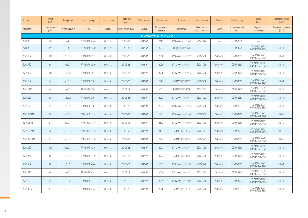| Engine      | Power<br>(kW)    | Preinjection   | Injection pump | Injection unit | Plunger and<br>barrel | Delivery valve | Calibration chart        | Governor            | <b>Boost corrector</b>        | Coupling                 | Fuel feed pump         | Injector<br>Nozzle               | Openning pressure<br>(MPa) |
|-------------|------------------|----------------|----------------|----------------|-----------------------|----------------|--------------------------|---------------------|-------------------------------|--------------------------|------------------------|----------------------------------|----------------------------|
| Двигатель   | Мощность<br>(kW) | Начало впрыска | ТНВД           | Секция         | Плунжерная пара       | Клапан         | Инструкция по<br>наладки | Регулятор           | Обогатитель<br>подачи топлива | Муфта                    | Подкачивающий<br>насос | Форсунка<br>Распылитель          | Давление открытия<br>(MPa) |
|             |                  |                |                |                |                       |                | OJSC"MMP"/OAO"YKX" MM3"  |                     |                               |                          |                        |                                  |                            |
| Д260.4С     | 156              | 16±1           | PP6M10P1f-4248 | 60503-54       | 60403-41              | 60042-62       | 6505                     | RV3M400/1050-3362   | ZS64-1784                     | $\overline{\phantom{0}}$ | CD3M-3554              |                                  |                            |
| Д266.4      | 127              | 11±1           | PP6M10P1f-4260 | 60503-55       | 60403-41              | 60042-62       | 6772                     | El. reg. LA72099350 |                               |                          | CD3M-3554              | VA70P360-2994<br>DOP140P529-3824 | $25,0+1,2$                 |
| Д245.9Е2    | 100              | 5 ± 0.5        | PP4M10P1i-3527 | 60503-82       | 60403-68              | 60042-97       | 6728                     | RV3M400/1200-3977   | ZS70-1738                     | 54856-96                 | CD4M-3569              | VA70P360-2994<br>DOP140P529-3824 | $25,0+1,2$                 |
| Д245.7Е2    | 90               | $4 \pm 0.5$    | PP4M10P1i-3530 | 60503-82       | 60403-68              | 60042-97       | 6729                     | RV3M400/1200-3978   | ZS70-1739                     | 54856-96                 | CD4M-3569              | VA70P360-2994<br>DOP140P529-3824 | $25,0+1,2$                 |
| Д245.30Е2   | 115              | $5,5 \pm 0.5$  | PP4M10P1i-3532 | 60503-82       | 60403-68              | 60042-97       | 6730                     | RV3M400/1200-3976   | ZS70-1738                     | 54856-96                 | CD4M-3569              | VA70P360-2994<br>DOP140P529-3824 | $25,0+1,2$                 |
| Д245.5S2    | 66               | $4 \pm 0.5$    | PP4M10P1i-3701 | 60503-82       | 60403-68              | 60042-97       | 6603                     | RV3M300/900-3908    | ZS70-1728                     | 54856-96                 | CD4M-3569              | VA70P360-2994<br>DOP140P529-3824 | $25,0+1,2$                 |
| Д245.43S2   | 60               | $4 + 0.5$      | PP4M10P1i-3703 | 60503-82       | 60403-68              | 60042-97       | 6722                     | RV3M300/900-3908    | ZS70-1728                     | 54856-96                 | CD4M-3569              | VA70P360-2994<br>DOP140P529-3824 | $25,0+1,2$                 |
| Д245.2S2    | 88               | $3,5 \pm 0.5$  | PP4M10P1i-3704 | 60503-82       | 60403-68              | 60042-97       | 6723                     | RV3M300/1100-3975   | ZS70-1728                     | 54856-96                 | CD4M-3569              | VA70P360-2994<br>DOP140P529-3824 | $25,0+1,2$                 |
| Д245.S2     | 79               | $3,5 \pm 0.5$  | PP4M10P1i-3705 | 60503-82       | 60403-68              | 60042-97       | 6724                     | RV3M300/1100-3975   | ZS70-1728                     | 54856-96                 | CD4M-3569              | VA70P360-2994<br>DOP140P529-3824 | $25,0+1,2$                 |
| Д245.2S3AM  | 90               | $6 \pm 0.5$    | PP4M10U1i-3793 | 60503-01       | 60403-75              | 60042-97       | 6671                     | RV3M400/1100-3989   | ZS70-1739                     | 54856-98                 | CD4M-3569              | VA70P360-2996<br>DOP140P528-3826 | $28.0 + 0.8$               |
| Д245.S3AM   | 81               | $6 \pm 0.5$    | PP4M10U1i-3794 | 60503-01       | 60403-75              | 60042-97       | 6672                     | RV3M400/1100-3989   | ZS70-1739                     | 54856-98                 | CD4M-3569              | VA70P360-2996<br>DOP140P528-3826 | $28,0+0,8$                 |
| Д245.5S3AM  | 70               | $4 \pm 0.5$    | PP4M10U1i-3795 | 60503-01       | 60403-75              | 60042-97       | 6673                     | RV3M400/900-3987    | ZS70-1741                     | 54856-98                 | CD4M-3569              | VA70P360-2996<br>DOP140P528-3826 | $28.0 + 0.8$               |
| Д245.43S3AM | 62               | $4 \pm 0.5$    | PP4M10U1i-3796 | 60503-01       | 60403-75              | 60042-97       | 6674                     | RV3M400/900-3987    | ZS70-1741                     | 54856-98                 | CD4M-3569              | VA70P360-2996<br>DOP140P528-3826 | $28,0+0,8$                 |
| Д245.9Е2    | 100              | 5 ± 0.5        | PP4M10P1i-4336 | 60503-82       | 60403-68              | 60042-97       | 6728                     | RV3M400/1200-3977   | ZS70-1739                     | 54856-96                 | CD4M-3569              | VA70P360-2994<br>DOP140P529-3824 | $25,0+1,2$                 |
| Д245.43S2   | 60               | $4 + 0.5$      | PP4M10P1i-4339 | 60503-82       | 60403-68              | 60042-97       | 6722                     | RV3M300/900-3981    | ZS70-1740                     | 54856-96                 | CD4M-3569              | VA70P360-2994<br>DOP140P529-3824 | $25.0 + 1.2$               |
| Д245.2S2    | 88               | $3,5 \pm 0.5$  | PP4M10P1i-4340 | 60503-82       | 60403-68              | 60042-97       | 6723                     | RV3M300/1100-3975   | ZS70-1740                     | 54856-96                 | CD4M-3569              | VA70P360-2994<br>DOP140P529-3824 | $25,0+1,2$                 |
| Д245.7E2    | 90               | $4 + 0.5$      | PP4M10P1i-4342 | 60503-82       | 60403-68              | 60042-97       | 6729                     | RV3M400/1200-3978   | ZS70-1738                     | 54856-96                 | CD4M-3569              | VA70P360-2994<br>DOP140P529-3824 | $25.0 + 1.2$               |
| Д245.S2     | 79               | $3,5 \pm 0.5$  | PP4M10P1i-4343 | 60503-82       | 60403-68              | 60042-97       | 6739                     | RV3M300/1100-3982   | ZS70-1740                     | 54856-96                 | CD4M-3569              | VA70P360-2994<br>DOP140P529-3824 | $25,0+1,2$                 |
| Д245.43S2   | 62               | $4 \pm 0.5$    | PP4M10P1i-4344 | 60503-82       | 60403-68              | 60042-97       | 6740                     | RV3M300/900-3981    | ZS70-1740                     | 54856-96                 | CD4M-3569              | VA70P360-2994<br>DOP140P529-3824 | $25,0+1,2$                 |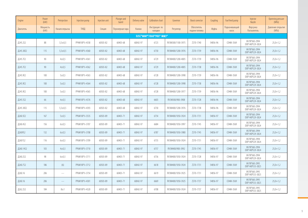| Engine    | Power<br>(kW)    | Preinjection   | Injection pump | Injection unit | Plunger and<br>barrel | Delivery valve | <b>Calibration chart</b> | Governor          | <b>Boost corrector</b>               | Coupling | Fuel feed pump         | Injector<br>Nozzle               | Openning pressure<br>(MPa) |
|-----------|------------------|----------------|----------------|----------------|-----------------------|----------------|--------------------------|-------------------|--------------------------------------|----------|------------------------|----------------------------------|----------------------------|
| Двигатель | Мощность<br>(kW) | Начало впрыска | <b>ТНВД</b>    | Секция         | Плунжерная пара       | Клапан         | Инструкция по<br>наладки | Регулятор         | <b>Обогатитель</b><br>подачи топлива | Муфта    | Подкачивающий<br>насос | Форсунка<br>Распылитель          | Давление открытия<br>(MPa) |
|           |                  |                |                |                |                       |                | OJSC"MMP"/OAO"YKX" MM3"  |                   |                                      |          |                        |                                  |                            |
| Д245.2S2  | 88               | $3,5 \pm 0.5$  | PP4M10P1i-4358 | 60503-82       | 60403-68              | 60042-97       | 6723                     | RV3M300/1100-3975 | ZS70-1740                            | 54856-96 | CD4M-3569              | VA70P360-2994<br>DOP140P529-3824 | $25,0+1,2$                 |
| Д245.30Е2 | 115              | $5.5 \pm 0.5$  | PP4M10P1i-4360 | 60503-82       | 60403-68              | 60042-97       | 6730                     | RV3M400/1200-3976 | ZS70-1739                            | 54856-96 | CD4M-3569              | VA70P360-2994<br>DOP140P529-3824 | $25.0 + 1.2$               |
| Д245.7Е2  | 90               | $4 + 0.5$      | PP4M10P1i-4361 | 60503-82       | 60403-68              | 60042-97       | 6729                     | RV3M400/1200-4005 | ZS70-1739                            | 54856-96 | CD4M-3569              | VA70P360-2994<br>DOP140P529-3824 | $25,0+1,2$                 |
| Д245.7Е2  | 90               | $4 + 0.5$      | PP4M10P1i-4362 | 60503-82       | 60403-68              | 60042-97       | 6729                     | RV3M400/1200-4005 | ZS70-1738                            | 54856-96 | CD4M-3569              | VA70P360-2994<br>DOP140P529-3824 | $25,0+1,2$                 |
| Д245.9Е2  | 100              | $5 + 0.5$      | PP4M10P1i-4363 | 60503-82       | 60403-68              | 60042-97       | 6728                     | RV3M400/1200-3998 | ZS70-1739                            | 54856-96 | CD4M-3569              | VA70P360-2994<br>DOP140P529-3824 | $25.0 + 1.2$               |
| Д245.9Е2  | 100 <sub>o</sub> | $5 + 0.5$      | PP4M10P1i-4364 | 60503-82       | 60403-68              | 60042-97       | 6728                     | RV3M400/1200-3998 | ZS70-1738                            | 54856-96 | CD4M-3569              | VA70P360-2994<br>DOP140P529-3824 | $25,0+1,2$                 |
| Д245.9Е2  | 100              | 5 ± 0.5        | PP4M10P1i-4365 | 60503-82       | 60403-68              | 60042-97       | 6728                     | RV3M400/1200-3977 | ZS70-1739                            | 54856-96 | CD4M-3569              | VA70P360-2994<br>DOP140P529-3824 | $25,0+1,2$                 |
| Д245.5S2  | 66               | $4 + 0.5$      | PP4M10P1i-4376 | 60503-82       | 60403-68              | 60042-97       | 6603                     | RV3M300/900-3908  | ZS70-1728                            | 54856-96 | CD4M-3569              | VA70P360-2994<br>DOP140P529-3824 | $25.0 + 1.2$               |
| Д245.30Е2 | 115              | $5,5 \pm 0.5$  | PP4M10P1i-4393 | 60503-82       | 60403-68              | 60042-97       | 6730                     | RV3M400/1200-3976 | ZS70-1738                            | 54856-96 | CD4M-3569              | VA70P360-2994<br>DOP140P529-3824 | $25,0+1,2$                 |
| Д260.5Е2  | 167              | 5 ± 0.5        | PP6M10P1i-3535 | 60503-89       | 60403-71              | 60042-97       | 6754                     | RV3M400/1050-3924 | ZS70-1731                            | 54856-97 | CD4M-3569              | VA70P360-2994<br>DOP140P529-3824 | $25,0+1,2$                 |
| Д260.4S2  | 156              | $6 + 0.5$      | PP6M10P1i-3707 | 60503-89       | 60403-71              | 60042-97       | 6684                     | RV3M400/1050-3997 | ZS70-1745                            | 54856-97 | CD4M-3569              | VA70P360-2994<br>DOP140P529-3824 | $25.0 + 1.2$               |
| Д2609S2   | 132              | 6±0,5          | PP6M10P1i-3708 | 60503-89       | 60403-71              | 60042-97       | 6787                     | RV3M400/1050-3980 | ZS70-1745                            | 54856-97 | CD4M-3569              | VA70P360-2994<br>DOP140P529-3824 | $25,0+1,2$                 |
| Д2601S2   | 116              | 6 ± 0.5        | PP6M10P1i-3709 | 60503-89       | 60403-71              | 60042-97       | 6735                     | RV3M400/1050-3924 | ZS70-1731                            | 54856-97 | CD4M-3569              | VA70P360-2994<br>DOP140P529-3824 | $25,0+1,2$                 |
| Д260.14S2 | 103              | $4 + 0.5$      | PP6M10P1i-3710 | 60503-89       | 60403-71              | 60042-97       | 6757                     | RV3M400/900-3992  | 7570-1745                            | 54856-97 | CD4M-3569              | VA70P360-2994<br>DOP140P529-3824 | $25,0+1,2$                 |
| Д260.2S2  | 98               | 6±0,5          | PP6M10P1i-3711 | 60503-89       | 60403-71              | 60042-97       | 6736                     | RV3M400/1050-3924 | ZS70-1728                            | 54856-97 | CD4M-3569              | VA70P360-2994<br>DOP140P529-3824 | $25,0+1,2$                 |
| Д260.7S2  | 186              | (6)            | PP6M10P1i-3712 | 60503-89       | 60403-71              | 60042-97       | 6618                     | RV3M400/1050-3924 | ZS70-1731                            | 54856-97 | CD4M-3569              | VA70P360-2995<br>DOP140P533-3825 | $25,0+1,2$                 |
| Д260.16   | 206              |                | PP6M10P1i-3754 | 60503-89       | 60403-71              | 60042-97       | 6619                     | RV3M400/1050-3925 | ZS70-1731                            | 54856-97 | CD4M-3569              | VA70P360-2995<br>DOP140P533-3825 | $25,0+1,2$                 |
| Д260.16   | 206              |                | PP6M10P1i-4301 | 60503-89       | 60403-71              | 60042-97       | 6669                     | RV3M400/1050-3925 | ZS70-1737                            | 54856-97 | CD4M-3569              | VA70P360-2995<br>DOP140P533-3825 | $25,0+1,2$                 |
| Д262.2S2  | 184              | $8\pm1$        | PP6M10P1i-4320 | 60503-89       | 60403-71              | 60042-97       | 6708                     | RV3M400/1050-3924 | ZS70-1737                            | 54856-97 | CD4M-3569              | VA70P360-2995<br>DOP140P533-3825 | $25,0+1,2$                 |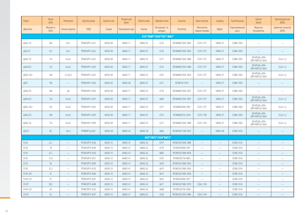| Engine    | Power<br>(kW)    | Preinjection             | Injection pump | Injection unit | Plunger and<br>barrel | Delivery valve | Calibration chart        | Governor          | Boost corrector               | Coupling                 | Fuel feed pump         | Injector<br>Nozzle               | Openning pressure<br>(MPa) |
|-----------|------------------|--------------------------|----------------|----------------|-----------------------|----------------|--------------------------|-------------------|-------------------------------|--------------------------|------------------------|----------------------------------|----------------------------|
| Двигатель | Мощность<br>(kW) | Начало впрыска           | <b>ТНВД</b>    | Секция         | Плунжерная пара       | Клапан         | Инструкция по<br>наладки | Регулятор         | Обогатитель<br>подачи топлива | Муфта                    | Подкачивающий<br>насос | Форсунка<br>Распылитель          | Давление открытия<br>(MPa) |
|           |                  |                          |                |                |                       |                | OJSC"MMP"/OAO"YKX" MM3"  |                   |                               |                          |                        |                                  |                            |
| Д262.1S2  | 206              | $8\pm1$                  | PP6M10P1i-4321 | 60503-89       | 60403-71              | 60042-97       | 6725                     | RV3M400/1050-3983 | ZS70-1737                     | 54856-97                 | CD4M-3569              |                                  |                            |
| Д262.S2   | 221              | $8\pm1$                  | PP6M10P1i-4322 | 60503-89       | 60403-71              | 60042-97       | 6726                     | RV3M400/1050-3569 | ZS70-1737                     | 54856-97                 | CD4M-3569              |                                  |                            |
| Д260.1S2  | 116              | $6 + 0.5$                | PP6M10P1i-4323 | 60503-89       | 60403-71              | 60042-97       | 6731                     | RV3M400/1050-3980 | ZS70-1737                     | 54856-97                 | CD4M-3569              | VA70P360-2994<br>DOP140P529-3824 | $25,0+1,2$                 |
| Д260.9S2  | 132              | 6 ± 0.5                  | PP6M10P1i-4324 | 60503-89       | 60403-71              | 60042-97       | 6732                     | RV3M400/1050-3980 | ZS70-1737                     | 54856-97                 | CD4M-3569              | VA70P360-2994<br>DOP140P529-3824 | $25,0+1,2$                 |
| Д260.12Е2 | 184              | $5,5 \pm 0.5$            | PP6M10P1i-4325 | 60503-89       | 60403-71              | 60042-97       | 6707                     | RV3M400/1050-3924 | ZS70-1737                     | 54856-97                 | CD4M-3569              | VA70P360-2994<br>DOP140P529-3824 | $25,0+1,2$                 |
| Д267      | 196              |                          | PP6M10P1i-4326 | 60503-82       | 60403-68              | 60042-97       | 6721                     | RV3M750-3974      |                               | 54856-97                 | CD4M-3569              |                                  |                            |
| Д260.7Е2  | 186              | (6)                      | PP6M10P1i-4330 | 60503-89       | 60403-71              | 60042-97       | 6710                     | RV3M400/1050-3925 | ZS70-1737                     | 54856-97                 | CD4M-3569              |                                  | $\overline{\phantom{0}}$   |
| Д260.4S2  | 156              | $6 + 0.5$                | PP6M10P1i-4341 | 60503-89       | 60403-71              | 60042-97       | 6684                     | RV3M400/1050-3997 | ZS70-1737                     | 54856-97                 | CD4M-3569              | VA70P360-2994<br>DOP140P529-3824 | $25,0+1,2$                 |
| Д260.14S2 | 103              | $4 \pm 0.5$              | PP6M10P1i-4345 | 60503-89       | 60403-71              | 60042-97       | 6757                     | RV3M400/900-3992  | ZS70-1737                     | 54856-97                 | CD4M-3569              | VA70P360-2994<br>DOP140P529-3824 | $25,0+1,2$                 |
| Д260.2S2  | 100              | 6 ± 0.5                  | PP6M10P1i-4359 | 60503-89       | 60403-71              | 60042-97       | 6755                     | RV3M400/105-3924  | ZS70-1740                     | 54856-97                 | CD4M-3569              | VA70P360-2994<br>DOP140P529-3824 | $25,0+1,2$                 |
| Д260.152  | 116              | 6 ± 0.5                  | PP6M1091i-4399 | 60503-89       | 60403-71              | 60042-97       | 6731                     | RV3M400/1050-3980 | ZS70-1745                     | 54856-97                 | CD4M-3569              | VA70P360-2994<br>DOP140P529-3824 | $25,0+1,2$                 |
| Д243.С    | 82               | 16±1                     | PP4M9P1g-4201  | 60503-94       | 60403-43              | 60042-58       | 6666                     | RV3M350/1100-3953 | <u>—</u>                      | 04856-98                 | CD3M-3554              |                                  |                            |
|           |                  |                          |                |                |                       |                | 000"VMTZ"/000"BMT3"      |                   |                               |                          |                        |                                  |                            |
| D120      | 22,1             |                          | PP2M10P1f-4246 | 60503-55       | 60403-41              | 60042-62       | 6747                     | RV3M350/1000-3988 |                               |                          | CD3M-3554              |                                  |                            |
| D120      | 18               | $\overline{\phantom{0}}$ | PP2M10P1f-4249 | 60503-55       | 60403-41              | 60042-62       | 6759                     | RV3M350/900-3957  | $\frac{1}{2}$                 | $\overline{\phantom{0}}$ | CD3M-3554              | $\overline{\phantom{0}}$         | $\overline{\phantom{0}}$   |
| D120      | 22,1             | $\hspace{0.05cm}$        | PP2M10P1f-4250 | 60503-55       | 60403-41              | 60042-62       | 6804                     | RV3M350/1000-4018 | $\qquad \qquad$               | $\qquad \qquad$          | CD3M-3554              | $\hspace{0.05cm}$                |                            |
| D120      | 15,4             | $\overline{\phantom{0}}$ | PP2M10P1f-4251 | 60503-55       | 60403-41              | 60042-62       | 6765                     | RV3M350/750-4003  | $\overline{\phantom{0}}$      | $\overline{\phantom{0}}$ | CD3M-3554              |                                  | $\overline{\phantom{0}}$   |
| D130      | 46               | ÷,                       | PP3M10P1f-4209 | 60503-55       | 60403-41              | 60042-62       | 6678                     | RV3M350/1000-3956 | $\overline{\phantom{0}}$      | $\overline{\phantom{0}}$ | CD3M-3554              |                                  |                            |
| D130      | 35,3             |                          | PP3M10P1f-4210 | 60503-55       | 60403-41              | 60042-62       | 6679                     | RV3M350/1000-3956 | $\overline{\phantom{0}}$      | $\overline{\phantom{0}}$ | CD3M-3554              | $\overline{\phantom{0}}$         | $\overline{\phantom{0}}$   |
| D144-305  | 47               | $\overline{\phantom{0}}$ | PP4M10P1f-4206 | 60503-55       | 60403-41              | 60042-62       | 6675                     | RV3M350/1000-3956 | $\overline{\phantom{0}}$      |                          | CD3M-3554              | $\overline{\phantom{a}}$         | $\overline{\phantom{0}}$   |
| D144-315  | 47               |                          | PP4M10P1f-4207 | 60503-55       | 60403-41              | 60042-62       | 6676                     | RV3M350/900-3957  |                               | $\overline{\phantom{0}}$ | CD3M-3554              | $\overline{\phantom{0}}$         |                            |
| D145T     | 58,3             |                          | PP4M10P1f-4208 | 60503-55       | 60403-41              | 60042-62       | 6677                     | RV3M350/1000-3970 | ZS64-1744                     |                          | CD3M-3554              |                                  |                            |
| D144-325  | 44               | $\overline{\phantom{0}}$ | PP4M10P1f-4216 | 60503-55       | 60403-41              | 60042-62       | 6688                     | RV3M350/750-3960  | $\frac{1}{2}$                 | $\overline{\phantom{a}}$ | CD3M-3554              | $\overline{\phantom{m}}$         | $\overline{\phantom{0}}$   |
| D145T     | 62               |                          | PP4M10P1f-4247 | 60503-55       | 60403-41              | 60042-62       | 6746                     | RV3M350/1050-3986 | ZS64-1744                     | -                        | CD3M-3554              | $\overline{\phantom{0}}$         | $\overline{\phantom{0}}$   |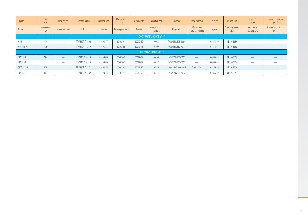| Engine              | Power<br>(kW)    | Preinjection                                                                                                                                                                                                                                                                                                                                                                                                                                                               | Injection pump | Injection unit | Plunger and<br>barrel | Delivery valve | Calibration chart        | Governor          | Boost corrector               | Coupling | Fuel feed pump         | Injector<br>Nozzle              | Openning pressure<br>(MPa) |
|---------------------|------------------|----------------------------------------------------------------------------------------------------------------------------------------------------------------------------------------------------------------------------------------------------------------------------------------------------------------------------------------------------------------------------------------------------------------------------------------------------------------------------|----------------|----------------|-----------------------|----------------|--------------------------|-------------------|-------------------------------|----------|------------------------|---------------------------------|----------------------------|
| Двигатель           | Мощность<br>(kW) | Начало впрыска                                                                                                                                                                                                                                                                                                                                                                                                                                                             | <b>ТНВД</b>    | Секция         | Плунжерная пара       | Клапан         | Инструкция по<br>наладки | Регулятор         | Обогатитель<br>подачи топлива | Муфта    | Подкачивающий<br>Hacoc | Форсунка<br>Распылитель         | Давление открытия<br>(MPa) |
| 000"VMTZ"/000"BMT3" |                  |                                                                                                                                                                                                                                                                                                                                                                                                                                                                            |                |                |                       |                |                          |                   |                               |          |                        |                                 |                            |
| A41                 | 69               | $\sim$                                                                                                                                                                                                                                                                                                                                                                                                                                                                     | PP4M10P1f-4202 | 60503-55       | 60403-41              | 60042-62       | 6698                     | RV3M350/875-3964  | $\overline{\phantom{a}}$      | 04856-89 | CD3M-3554              | $\frac{1}{2}$                   |                            |
| $A-41-CI-01$        | 73,5             |                                                                                                                                                                                                                                                                                                                                                                                                                                                                            | PP4M10P1i-4379 | 60503-83       | 60403-66              | 60042-93       | 6790                     | RV3M350/880-4011  |                               | 04856-87 | CD4M-3569              |                                 |                            |
|                     |                  |                                                                                                                                                                                                                                                                                                                                                                                                                                                                            |                |                |                       |                | JSC"BMZ"/3A0"BMT3"       |                   |                               |          |                        |                                 |                            |
| SMD 18N             | 73,6             | $\frac{1}{2} \left( \frac{1}{2} \right) \left( \frac{1}{2} \right) \left( \frac{1}{2} \right) \left( \frac{1}{2} \right) \left( \frac{1}{2} \right) \left( \frac{1}{2} \right) \left( \frac{1}{2} \right) \left( \frac{1}{2} \right) \left( \frac{1}{2} \right) \left( \frac{1}{2} \right) \left( \frac{1}{2} \right) \left( \frac{1}{2} \right) \left( \frac{1}{2} \right) \left( \frac{1}{2} \right) \left( \frac{1}{2} \right) \left( \frac{1}{2} \right) \left( \frac$ | PP4M10P1f-4214 | 60503-55       | 60403-41              | 60042-62       | 6696                     | RV3M350/900-3957  | $\qquad \qquad -$             | 04856-99 | CD3M-3554              | $\frac{1}{2}$                   |                            |
| SMD 14N             | 59               | $\sim$                                                                                                                                                                                                                                                                                                                                                                                                                                                                     | PP4M10P1f-4215 | 60503-55       | 60403-41              | 60042-62       | 6697                     | RV3M350/900-3957  | $\overline{\phantom{a}}$      | 04856-99 | CD3M-3554              | $\frac{1}{2}$                   |                            |
| SMD 21, 22          | 107              | $\frac{1}{2}$                                                                                                                                                                                                                                                                                                                                                                                                                                                              | PP4M10P1f-4271 | 60503-54       | 60403-41              | 60042-62       | 6799                     | RV3M350/1000-4016 | ZS64-1796                     | 04856-99 | CD3M-3554              | $\frac{1}{2}$                   |                            |
| SMD 31T             | 110              | $\overline{\phantom{a}}$                                                                                                                                                                                                                                                                                                                                                                                                                                                   | PP6M10P1f-4232 | 60503-54       | 60403-41              | 60042-62       | 6734                     | RV3M350/900-4012  | $\overline{\phantom{a}}$      | 04856-99 | CD3M-3554              | $\hspace{0.1mm}-\hspace{0.1mm}$ | $\frac{1}{2}$              |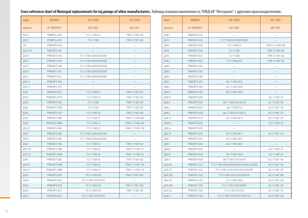## Cross reference chart of Motorpal replacements for inj.pumps of other manufacturers. Таблица взаимозаменяемость ТНВД АО "Моторпал" с другими производителями.

| Engine    | MOTORPAL        | OJSC "YaZDA"                | OJSC "NZTA"        |
|-----------|-----------------|-----------------------------|--------------------|
| Двигатель | АО "МОТОРПАЛ"   | ОАО "ЯЗДА"                  | OAO "H3TA"         |
| Д242.С    | PP4M9P1g-4269   | 772.1111005-01              | УТНИ-1111007-610   |
| Д243.С    | PP4M9P1g-4270   | 772.1111005                 | УТНИ-1111007-620   |
| 3LD       | PP3M10P3f-4278  |                             |                    |
| Д245.16Л  | PP4M10P1f-3431  |                             |                    |
| Д245.9    | PP4M10U1f-3436  | 773.1111005-05/053/0532/05Π |                    |
| Д245.7    | PP4M10P1f-3439  | 773.1111005-04/043/0432/04Π |                    |
| Д245.7    | PP4M10U1f-3440  | 773.1111005-04/043/0432/04Π |                    |
| Д245.9    | PP4M10P1f-3451  | 773.1111005-05/059/0592/05Π |                    |
| Д245.7    | PP4M10P1f-3457  | 773.1111005-04/043/0432/04Π |                    |
| Д245.12   | PP4M10P1f-3470  |                             |                    |
| Д245.12   | PP4M10P1f-3475  |                             |                    |
| Д242С     | PP4M10P1f-3477  | 772.1111005-01              | УТНИ-1111007-610   |
| Д242С     | PP4M10P1f-3477G | 772.1111005-01              | УТНИ-1111007-610   |
| Д243С     | PP4M10P1f-3478  | 772.1111005                 | УТНИ-1111007-620   |
| Д243С     | PP4M10P1f-3478G | 772.1111005                 | YTHN-1111007-620   |
| Д244С     | PP4M10P1f-3479  | 772.1111005-04              | УТНИ-1111007-630   |
| Д245С     | PP4M10P1f-3480  | 773.1111005-01              | УТНИ-Т-1111007-600 |
| Д245С     | PP4M10P1f-3480G | 773.1111005-01              | УТНИ-Т-1111007-600 |
| Д245.5С   | PP4M10P1f-3481  | 773.1111005-02              | УТНИ-Т-1111007-720 |
| Д245.7    | PP4M10U1f-3482  | 773.1111005-04/043/0432/04Π |                    |
| Д245.9    | PP4M10U1f-3483  | 773.1111005-05/053/0532/05Π |                    |
| Д242С     | PP4M10U1f-3485  | 772.1111005-01              | УТНИ-1111007-610   |
| Д245.12С  | PP4M10U1f-3486  | 773.1111005-03              | УТНИ-Т-1111007-20  |
| Д245.12С  | PP4M10P1f-3486G | 773.1111005-03              | УТНИ-Т-1111007-20  |
| Д244С     | PP4M10U1f-3487  | 772.1111005-04              | УТНИ-1111007-630   |
| Д245.5С   | PP4M10U1f-3488  | 773.1111005-02              | УТНИ-Т-1111007-720 |
| Д245.5С   | PP4M10P1f-3488G | 773.1111005-02              | УТНИ-Т-1111007-720 |
| Д246.1    | PP4M10P1f-4204  | 776.1111005/3/32            | УТНИ-1111007-180.1 |
| Д246.4    | PP4M10P1f-4205  | 776.1111005-01/013/0132     |                    |
| Д246.1    | PP4M10P1f-4218  | 776.1111005/3/32            | УТНИ-1111007-180.1 |
| Д246.2    | PP4M10P1f-4221  | 776.1111005/3/32            | YTHN-1111007-182   |
| Д246.3    | PP4M10P1f-4223  | 776.1111005-01/013/0132     |                    |

| Engine    | <b>MOTORPAL</b> | OJSC "YaZDA"                                     | OJSC "NZTA"        |
|-----------|-----------------|--------------------------------------------------|--------------------|
|           |                 |                                                  |                    |
| Двигатель | АО "МОТОРПАЛ"   | ОАО "ЯЗДА"                                       | OAO "H3TA"         |
| Д246.5    | PP4M10P1f-4224  |                                                  |                    |
| Д245.9    | PP4M10U1f-4233  | 773.1111005-05/053/0532/05Π                      |                    |
| Д245С     | PP4M10P1f-4240  | 773.1111005-01                                   | УТНИ-Т-1111007-600 |
| Д243С     | PP4M10P1f-4244  | 772.1111005                                      | YTHN-1111007-620   |
| Д243С     | PP4M10P1f-4255  | 772.1111005                                      | YTHN-1111007-620   |
| Д246.2    | PP4M10P1f-4267  | 776.1111005/3/32                                 | YTHN-1111007-182   |
| Д260.5    | PP6M10P1f-3462  |                                                  |                    |
| Д260.5    | PP6M10P1f-3476  |                                                  |                    |
| Д260.5    | PP6M10U1f-3489  |                                                  |                    |
| Д260.1    | PP6M10P1f-3491  | 363.1111005-40.01                                |                    |
| Д260.2    | PP6M10P1f-3492  | 363.1111005-40.02                                |                    |
| Д260.4    | PP6M10P1f-3493  | 363.1111005-40.04                                |                    |
| Д260.9С   | PP6M10P1f-4200  |                                                  | 632.1111007-29     |
| Д266.4    | PP6M10P1f-4203  | 366.1111005-01/013/0132                          | 632.1111007-140    |
| Д266.2    | PP6M10P1f-4219  | 366.1111005/3/32                                 | 632.1111007-120    |
| Д266.3    | PP6M10P1f-4220  | 366.1111005-01/013/0132                          | 632.1111007-130    |
| Д260.14   | PP6M10P1f-4222  | 363.1111005-40.14                                | 632.1111007-214    |
| Д260.9С   | PP6M10P1f-4234  |                                                  | 632.1111007-29     |
| Д260.хх   | PP6M10P1f-4235  |                                                  |                    |
| Д260.14   | PP6M10P1f-4236  | 363.1111005-40.14                                | 632.1111007-214    |
| Д260.1    | PP6M10P1f-4241  | 363.1111005-40.01                                |                    |
| Д260.1    | PP6M10P1f-4243  | 363.1111005-40.01                                |                    |
| Д260.9С   | PP6M10P1f-4245  |                                                  | 632.1111007-29     |
| Д260.4С   | PP6M10P1f-4248  | 363.1111005-40.04                                | 632.1111007-24     |
| Д266.4    | PP6M10P1f-4260  | 366.1111005-01/013/0132                          | 632.1111007-140    |
| Д245.9Е2  | PP4M10P1i-3527  | 773.1111005-20.06/20.06Э/20.06Э2/20.061Э2/20.06П | 432.1111007-240    |
| Д245.7Е2  | PP4M10P1i-3530  | 773.1111005-20.05/20.059/20.0592/20.05Π          | 432.1111007-270    |
| Д245.30Е2 | PP4M10P1i-3532  | 773.1111005-20.07/20.079/20.0792                 | 432.1111007-280    |
| Д245.5S2  | PP4M10P1i-3701  | 773.1111005-40.02                                | 432.1111007-250    |
| Д245.43S2 | PP4M10P1i-3703  | 773.1111005-40.09/40.0932                        | 432.1111007-230    |
| Д245.2S2  | PP4M10P1i-3704  | 773.1111005-07T/07T3                             | 432.1111007-210    |
| Д245.S2   | PP4M10P1i-3705  | 773.1111005-01T/01T3/01T32/011T32                | 432.1111007-200    |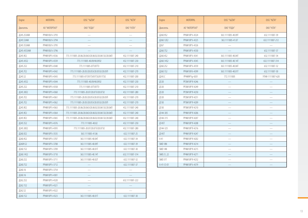| Engine      | <b>MOTORPAL</b> | OJSC "YaZDA"                                      | OJSC "NZTA"     |
|-------------|-----------------|---------------------------------------------------|-----------------|
| Двигатель   | АО "МОТОРПАЛ"   | 0АО "ЯЗДА"                                        | OAO "H3TA"      |
| Д245.2S3AM  | PP4M10U1i-3793  |                                                   |                 |
| Д245.S3AM   | PP4M10U1i-3794  |                                                   |                 |
| Д245.5S3AM  | PP4M10U1i-3795  |                                                   |                 |
| Д245.43S3AM | PP4M10U1i-3796  |                                                   |                 |
| Д245.9Е2    | PP4M10P1i-4336  | 773.1111005-20.06/20.063/20.0632/20.06132/20.06fl | 432.1111007-240 |
| Д245.43S2   | PP4M10P1i-4339  | 773.1111005-40.09/40.0932                         | 432.1111007-230 |
| Д245.2S2    | PP4M10P1i-4340  | 773.1111005-07T/07T3                              | 432.1111007-210 |
| Д245.7Е2    | PP4M10P1i-4342  | 773.1111005-20.05/20.053/20.0532/20.05 $\Pi$      | 432.1111007-270 |
| Д245.S2     | PP4M10P1i-4343  | 773.1111005-01T/01T3/01T32/011T32                 | 432.1111007-200 |
| Д245.43S2   | PP4M10P1i-4344  | 773.1111005-40.09/40.0992                         | 432.1111007-230 |
| Д245.2S2    | PP4M10P1i-4358  | 773.1111005-07T/07T3                              | 432.1111007-210 |
| Д245.30E2   | PP4M10P1i-4360  | 773.1111005-20.07/20.079/20.0792                  | 432.1111007-280 |
| Д245.7Е2    | PP4M10P1i-4361  | 773.1111005-20.05/20.059/20.0592/20.05 1          | 432.1111007-270 |
| Д245.7Е2    | PP4M10P1i-4362  | 773.1111005-20.05/20.059/20.0592/20.05 1          | 432.1111007-270 |
| Д245.9Е2    | PP4M10P1i-4363  | 773.1111005-20.06/20.063/20.0632/20.06132/20.06Π  | 432.1111007-240 |
| Д245.9Е2    | PP4M10P1i-4364  | 773.1111005-20.06/20.063/20.0632/20.06132/20.061  | 432.1111007-240 |
| Д245.9Е2    | PP4M10P1i-4365  | 773.1111005-20.06/20.063/20.0632/20.06132/20.06Π  | 432.1111007-240 |
| Д245.552    | PP4M10P1i-4376  | 773.1111005-40.02                                 | 432.1111007-250 |
| Д245.30Е2   | PP4M10P1i-4393  | 773.1111005-20.07/20.079/20.0792                  | 432.1111007-280 |
| Д260.5Е2    | PP6M10P1i-3535  | 363.1111005-41.06                                 | 632.1111007-25  |
| Д260.4S2    | PP6M10P1i-3707  | 363.1111005-40.04T                                | 632.1111007-34  |
| Д2609.S2    | PP6M10P1i-3708  | 363.1111005-40.09T                                | 632.1111007-39  |
| Д260.1S2    | PP6M10P1i-3709  | 363.1111005-40.01T                                | 632.1111007-30  |
| Д260.14S2   | PP6M10P1i-3710  | 363.1111005-40.14T                                | 632.1111007-314 |
| Д260.2S2    | PP6M10P1i-3711  | 363.1111005-40.02T                                | 632.1111007-32  |
| Д260.7S2    | PP6M10P1i-3712  |                                                   | 632.1111007-37  |
| Д260.16     | PP6M10P1i-3754  |                                                   |                 |
| Д260.16     | PP6M10P1i-4301  |                                                   |                 |
| Д262.2S2    | PP6M10P1i-4320  |                                                   | 632.1111007-222 |
| Д262.152    | PP6M10P1i-4321  |                                                   |                 |
| Д262.S2     | PP6M10P1i-4322  |                                                   |                 |
| Д260.1S2    | PP6M10P1i-4323  | 363.1111005-40.01T                                | 632.1111007-30  |

| Engine       | MOTORPAL       | OJSC "YaZDA"       | OJSC "NZTA"      |
|--------------|----------------|--------------------|------------------|
| Двигатель    | АО "МОТОРПАЛ"  | ОАО "ЯЗДА"         | OAO "H3TA"       |
| Д260.9S2     | PP6M10P1i-4324 | 363.1111005-40.09T | 632.1111007-39   |
| Д260.12Е2    | PP6M10P1i-4325 | 363.1111005-41.07  | 632.1111007-212  |
| Д267         | PP6M10P1i-4326 |                    |                  |
| Д260.7S2     | PP6M10P1i-4330 |                    | 632.1111007-37   |
| Д260.4S2     | PP6M10P1i-4341 | 363.1111005-40.04T | 632.1111007-34   |
| Д260.14S2    | PP6M10P1i-4345 | 363.1111005-40.14T | 632.1111007-314  |
| Д260.2S2     | PP6M10P1i-4359 | 363.1111005-40.04T | 632.1111007-32   |
| Д260.1S2     | PP6M1091i-4399 | 363.1111005-40.01T | 632.1111007-30   |
| Д243.С       | PP4M9P1g-4201  | 772.1111005        | УТНИ-1111007-620 |
| Д120         | PP2M10P1f-4246 |                    |                  |
| Д120         | PP2M10P1f-4249 |                    |                  |
| Д120         | PP2M10P1f-4250 |                    |                  |
| Д120         | PP2M10P1f-4251 |                    |                  |
| Д130         | PP3M10P1f-4209 |                    |                  |
| Д130         | PP3M10P1f-4210 |                    |                  |
| Д144-305     | PP4M10P1f-4206 |                    |                  |
| Д144-315     | PP4M10P1f-4207 |                    |                  |
| Д145Т        | PP4M10P1f-4208 |                    |                  |
| Д144-325     | PP4M10P1f-4216 |                    |                  |
| Д145Т        | PP4M10P1f-4247 |                    |                  |
| A41          | PP4M10P1f-4202 |                    |                  |
| SMD 18N      | PP4M10P1f-4214 |                    |                  |
| SMD 14N      | PP4M10P1f-4215 |                    |                  |
| SMD 21, 22   | PP4M10P1f-4271 |                    |                  |
| SMD 31T      | PP6M10P1f-4232 |                    |                  |
| $A-41-CI-01$ | PP4M10P1i-4379 |                    |                  |